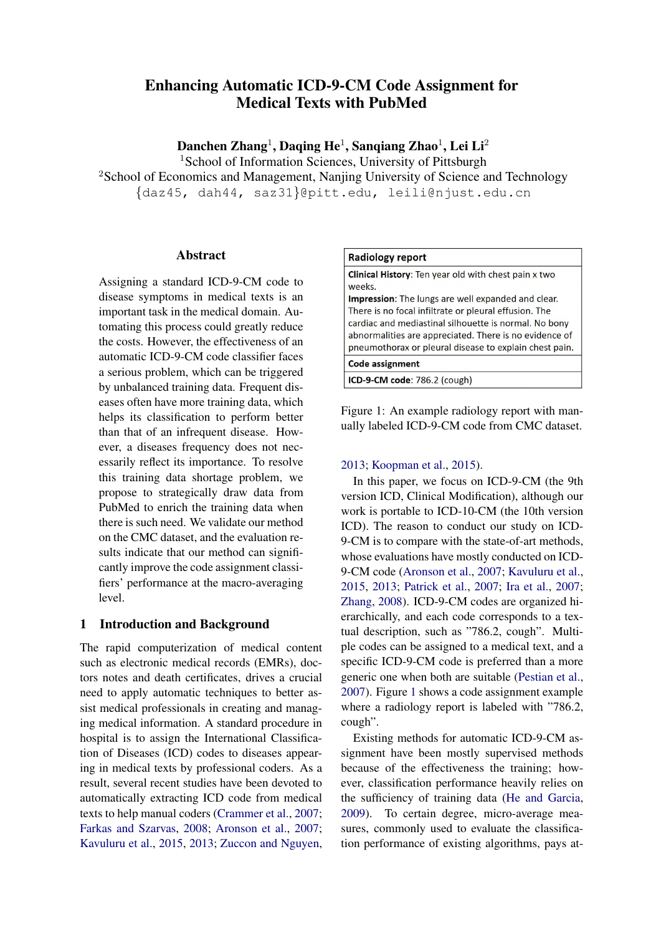# Enhancing Automatic ICD-9-CM Code Assignment for Medical Texts with PubMed

Danchen Zhang $^1$ , Daqing He $^1$ , Sanqiang Zhao $^1$ , Lei Li $^2$ 

<sup>1</sup>School of Information Sciences, University of Pittsburgh

<sup>2</sup>School of Economics and Management, Nanjing University of Science and Technology {daz45, dah44, saz31}@pitt.edu, leili@njust.edu.cn

### Abstract

Assigning a standard ICD-9-CM code to disease symptoms in medical texts is an important task in the medical domain. Automating this process could greatly reduce the costs. However, the effectiveness of an automatic ICD-9-CM code classifier faces a serious problem, which can be triggered by unbalanced training data. Frequent diseases often have more training data, which helps its classification to perform better than that of an infrequent disease. However, a diseases frequency does not necessarily reflect its importance. To resolve this training data shortage problem, we propose to strategically draw data from PubMed to enrich the training data when there is such need. We validate our method on the CMC dataset, and the evaluation results indicate that our method can significantly improve the code assignment classifiers' performance at the macro-averaging level.

### 1 Introduction and Background

The rapid computerization of medical content such as electronic medical records (EMRs), doctors notes and death certificates, drives a crucial need to apply automatic techniques to better assist medical professionals in creating and managing medical information. A standard procedure in hospital is to assign the International Classification of Diseases (ICD) codes to diseases appearing in medical texts by professional coders. As a result, several recent studies have been devoted to automatically extracting ICD code from medical texts to help manual coders [\(Crammer et al.,](#page-8-0) [2007;](#page-8-0) [Farkas and Szarvas,](#page-8-1) [2008;](#page-8-1) [Aronson et al.,](#page-8-2) [2007;](#page-8-2) [Kavuluru et al.,](#page-8-3) [2015,](#page-8-3) [2013;](#page-8-4) [Zuccon and Nguyen,](#page-8-5)

#### **Radiology report**

Clinical History: Ten year old with chest pain x two weeks.

Impression: The lungs are well expanded and clear. There is no focal infiltrate or pleural effusion. The cardiac and mediastinal silhouette is normal. No bony abnormalities are appreciated. There is no evidence of pneumothorax or pleural disease to explain chest pain.

**Code assignment** 

<span id="page-0-0"></span>ICD-9-CM code: 786.2 (cough)

Figure 1: An example radiology report with manually labeled ICD-9-CM code from CMC dataset.

### [2013;](#page-8-5) [Koopman et al.,](#page-8-6) [2015\)](#page-8-6).

In this paper, we focus on ICD-9-CM (the 9th version ICD, Clinical Modification), although our work is portable to ICD-10-CM (the 10th version ICD). The reason to conduct our study on ICD-9-CM is to compare with the state-of-art methods, whose evaluations have mostly conducted on ICD-9-CM code [\(Aronson et al.,](#page-8-2) [2007;](#page-8-2) [Kavuluru et al.,](#page-8-3) [2015,](#page-8-3) [2013;](#page-8-4) [Patrick et al.,](#page-8-7) [2007;](#page-8-7) [Ira et al.,](#page-8-8) [2007;](#page-8-8) [Zhang,](#page-8-9) [2008\)](#page-8-9). ICD-9-CM codes are organized hierarchically, and each code corresponds to a textual description, such as "786.2, cough". Multiple codes can be assigned to a medical text, and a specific ICD-9-CM code is preferred than a more generic one when both are suitable [\(Pestian et al.,](#page-8-10) [2007\)](#page-8-10). Figure [1](#page-0-0) shows a code assignment example where a radiology report is labeled with "786.2, cough".

Existing methods for automatic ICD-9-CM assignment have been mostly supervised methods because of the effectiveness the training; however, classification performance heavily relies on the sufficiency of training data [\(He and Garcia,](#page-8-11) [2009\)](#page-8-11). To certain degree, micro-average measures, commonly used to evaluate the classification performance of existing algorithms, pays at-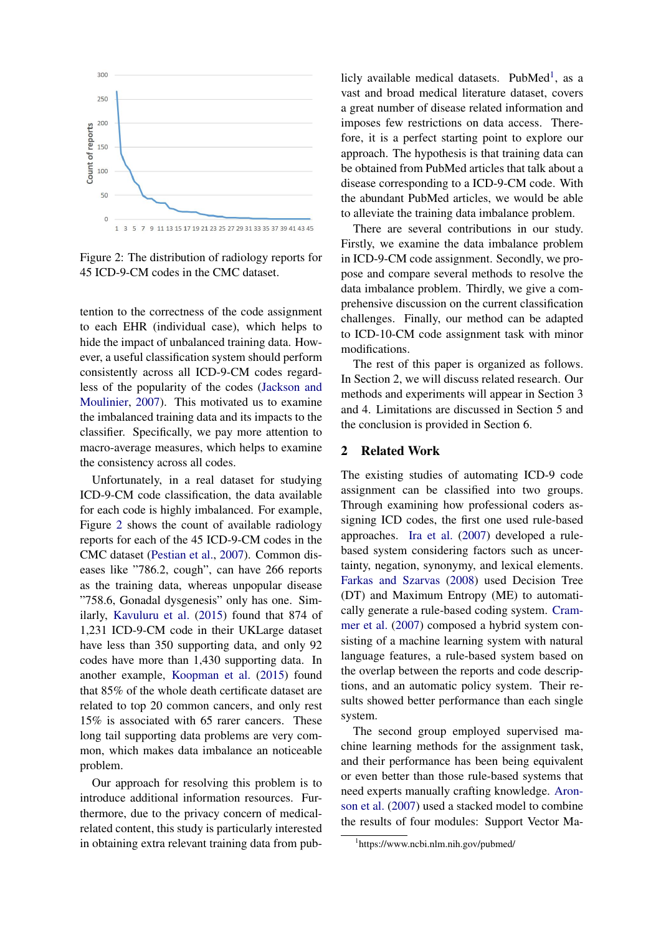

<span id="page-1-0"></span>Figure 2: The distribution of radiology reports for 45 ICD-9-CM codes in the CMC dataset.

tention to the correctness of the code assignment to each EHR (individual case), which helps to hide the impact of unbalanced training data. However, a useful classification system should perform consistently across all ICD-9-CM codes regardless of the popularity of the codes [\(Jackson and](#page-8-12) [Moulinier,](#page-8-12) [2007\)](#page-8-12). This motivated us to examine the imbalanced training data and its impacts to the classifier. Specifically, we pay more attention to macro-average measures, which helps to examine the consistency across all codes.

Unfortunately, in a real dataset for studying ICD-9-CM code classification, the data available for each code is highly imbalanced. For example, Figure [2](#page-1-0) shows the count of available radiology reports for each of the 45 ICD-9-CM codes in the CMC dataset [\(Pestian et al.,](#page-8-10) [2007\)](#page-8-10). Common diseases like "786.2, cough", can have 266 reports as the training data, whereas unpopular disease "758.6, Gonadal dysgenesis" only has one. Similarly, [Kavuluru et al.](#page-8-3) [\(2015\)](#page-8-3) found that 874 of 1,231 ICD-9-CM code in their UKLarge dataset have less than 350 supporting data, and only 92 codes have more than 1,430 supporting data. In another example, [Koopman et al.](#page-8-6) [\(2015\)](#page-8-6) found that 85% of the whole death certificate dataset are related to top 20 common cancers, and only rest 15% is associated with 65 rarer cancers. These long tail supporting data problems are very common, which makes data imbalance an noticeable problem.

Our approach for resolving this problem is to introduce additional information resources. Furthermore, due to the privacy concern of medicalrelated content, this study is particularly interested in obtaining extra relevant training data from pub-

licly available medical datasets. PubMed<sup>[1](#page-1-1)</sup>, as a vast and broad medical literature dataset, covers a great number of disease related information and imposes few restrictions on data access. Therefore, it is a perfect starting point to explore our approach. The hypothesis is that training data can be obtained from PubMed articles that talk about a disease corresponding to a ICD-9-CM code. With the abundant PubMed articles, we would be able to alleviate the training data imbalance problem.

There are several contributions in our study. Firstly, we examine the data imbalance problem in ICD-9-CM code assignment. Secondly, we propose and compare several methods to resolve the data imbalance problem. Thirdly, we give a comprehensive discussion on the current classification challenges. Finally, our method can be adapted to ICD-10-CM code assignment task with minor modifications.

The rest of this paper is organized as follows. In Section 2, we will discuss related research. Our methods and experiments will appear in Section 3 and 4. Limitations are discussed in Section 5 and the conclusion is provided in Section 6.

### 2 Related Work

The existing studies of automating ICD-9 code assignment can be classified into two groups. Through examining how professional coders assigning ICD codes, the first one used rule-based approaches. [Ira et al.](#page-8-8) [\(2007\)](#page-8-8) developed a rulebased system considering factors such as uncertainty, negation, synonymy, and lexical elements. [Farkas and Szarvas](#page-8-1) [\(2008\)](#page-8-1) used Decision Tree (DT) and Maximum Entropy (ME) to automatically generate a rule-based coding system. [Cram](#page-8-0)[mer et al.](#page-8-0) [\(2007\)](#page-8-0) composed a hybrid system consisting of a machine learning system with natural language features, a rule-based system based on the overlap between the reports and code descriptions, and an automatic policy system. Their results showed better performance than each single system.

The second group employed supervised machine learning methods for the assignment task, and their performance has been being equivalent or even better than those rule-based systems that need experts manually crafting knowledge. [Aron](#page-8-2)[son et al.](#page-8-2) [\(2007\)](#page-8-2) used a stacked model to combine the results of four modules: Support Vector Ma-

<span id="page-1-1"></span><sup>1</sup> https://www.ncbi.nlm.nih.gov/pubmed/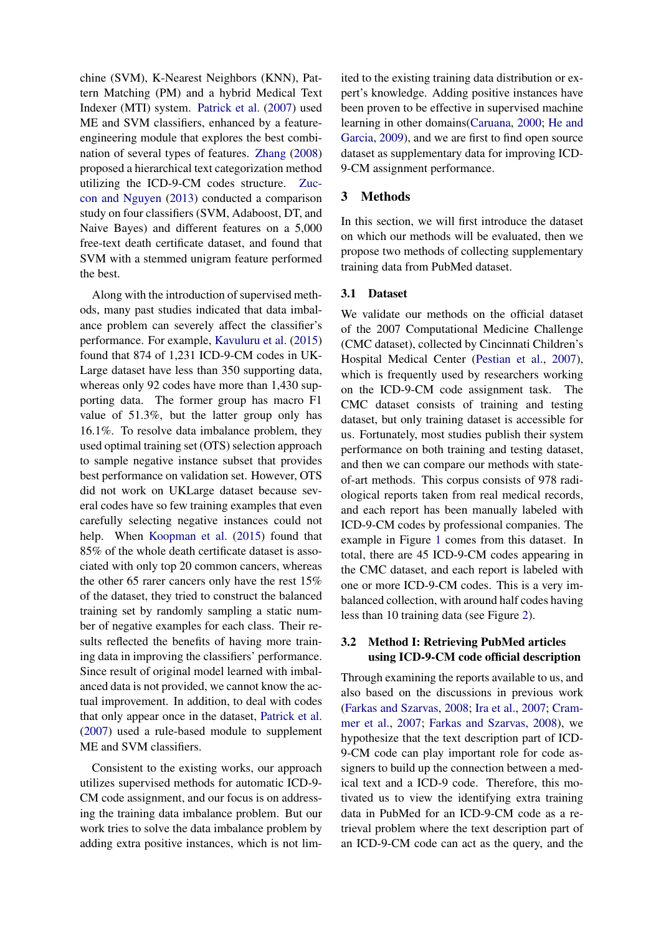chine (SVM), K-Nearest Neighbors (KNN), Pattern Matching (PM) and a hybrid Medical Text Indexer (MTI) system. [Patrick et al.](#page-8-7) [\(2007\)](#page-8-7) used ME and SVM classifiers, enhanced by a featureengineering module that explores the best combination of several types of features. [Zhang](#page-8-9) [\(2008\)](#page-8-9) proposed a hierarchical text categorization method utilizing the ICD-9-CM codes structure. [Zuc](#page-8-5)[con and Nguyen](#page-8-5) [\(2013\)](#page-8-5) conducted a comparison study on four classifiers (SVM, Adaboost, DT, and Naive Bayes) and different features on a 5,000 free-text death certificate dataset, and found that SVM with a stemmed unigram feature performed the best.

Along with the introduction of supervised methods, many past studies indicated that data imbalance problem can severely affect the classifier's performance. For example, [Kavuluru et al.](#page-8-3) [\(2015\)](#page-8-3) found that 874 of 1,231 ICD-9-CM codes in UK-Large dataset have less than 350 supporting data, whereas only 92 codes have more than 1,430 supporting data. The former group has macro F1 value of 51.3%, but the latter group only has 16.1%. To resolve data imbalance problem, they used optimal training set (OTS) selection approach to sample negative instance subset that provides best performance on validation set. However, OTS did not work on UKLarge dataset because several codes have so few training examples that even carefully selecting negative instances could not help. When [Koopman et al.](#page-8-6) [\(2015\)](#page-8-6) found that 85% of the whole death certificate dataset is associated with only top 20 common cancers, whereas the other 65 rarer cancers only have the rest 15% of the dataset, they tried to construct the balanced training set by randomly sampling a static number of negative examples for each class. Their results reflected the benefits of having more training data in improving the classifiers' performance. Since result of original model learned with imbalanced data is not provided, we cannot know the actual improvement. In addition, to deal with codes that only appear once in the dataset, [Patrick et al.](#page-8-7) [\(2007\)](#page-8-7) used a rule-based module to supplement ME and SVM classifiers.

Consistent to the existing works, our approach utilizes supervised methods for automatic ICD-9- CM code assignment, and our focus is on addressing the training data imbalance problem. But our work tries to solve the data imbalance problem by adding extra positive instances, which is not lim-

ited to the existing training data distribution or expert's knowledge. Adding positive instances have been proven to be effective in supervised machine learning in other domains[\(Caruana,](#page-8-13) [2000;](#page-8-13) [He and](#page-8-11) [Garcia,](#page-8-11) [2009\)](#page-8-11), and we are first to find open source dataset as supplementary data for improving ICD-9-CM assignment performance.

### 3 Methods

In this section, we will first introduce the dataset on which our methods will be evaluated, then we propose two methods of collecting supplementary training data from PubMed dataset.

#### 3.1 Dataset

We validate our methods on the official dataset of the 2007 Computational Medicine Challenge (CMC dataset), collected by Cincinnati Children's Hospital Medical Center [\(Pestian et al.,](#page-8-10) [2007\)](#page-8-10), which is frequently used by researchers working on the ICD-9-CM code assignment task. The CMC dataset consists of training and testing dataset, but only training dataset is accessible for us. Fortunately, most studies publish their system performance on both training and testing dataset, and then we can compare our methods with stateof-art methods. This corpus consists of 978 radiological reports taken from real medical records, and each report has been manually labeled with ICD-9-CM codes by professional companies. The example in Figure [1](#page-0-0) comes from this dataset. In total, there are 45 ICD-9-CM codes appearing in the CMC dataset, and each report is labeled with one or more ICD-9-CM codes. This is a very imbalanced collection, with around half codes having less than 10 training data (see Figure [2\)](#page-1-0).

### 3.2 Method I: Retrieving PubMed articles using ICD-9-CM code official description

Through examining the reports available to us, and also based on the discussions in previous work [\(Farkas and Szarvas,](#page-8-1) [2008;](#page-8-1) [Ira et al.,](#page-8-8) [2007;](#page-8-8) [Cram](#page-8-0)[mer et al.,](#page-8-0) [2007;](#page-8-0) [Farkas and Szarvas,](#page-8-1) [2008\)](#page-8-1), we hypothesize that the text description part of ICD-9-CM code can play important role for code assigners to build up the connection between a medical text and a ICD-9 code. Therefore, this motivated us to view the identifying extra training data in PubMed for an ICD-9-CM code as a retrieval problem where the text description part of an ICD-9-CM code can act as the query, and the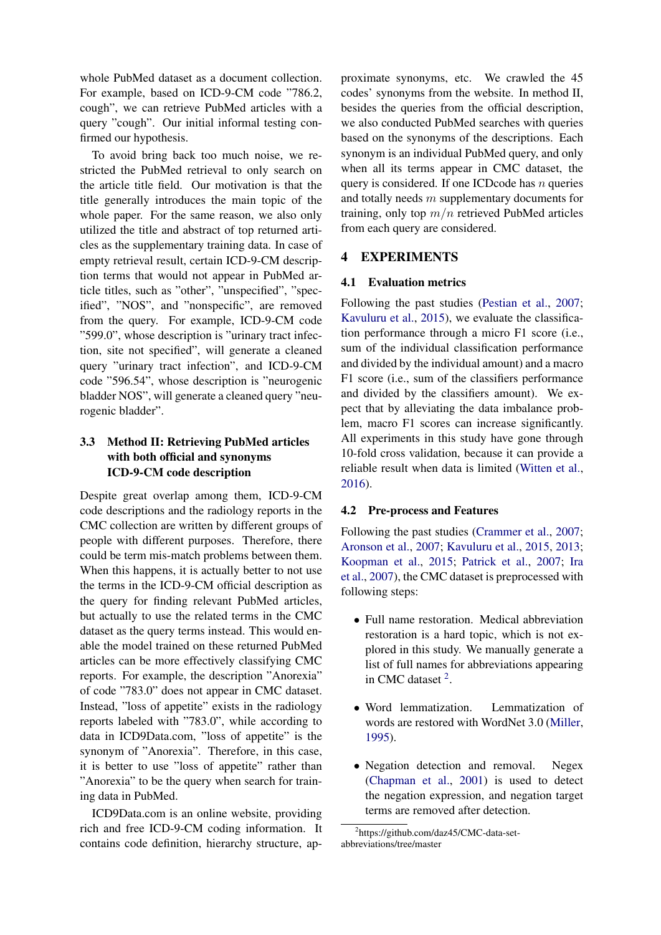whole PubMed dataset as a document collection. For example, based on ICD-9-CM code "786.2, cough", we can retrieve PubMed articles with a query "cough". Our initial informal testing confirmed our hypothesis.

To avoid bring back too much noise, we restricted the PubMed retrieval to only search on the article title field. Our motivation is that the title generally introduces the main topic of the whole paper. For the same reason, we also only utilized the title and abstract of top returned articles as the supplementary training data. In case of empty retrieval result, certain ICD-9-CM description terms that would not appear in PubMed article titles, such as "other", "unspecified", "specified", "NOS", and "nonspecific", are removed from the query. For example, ICD-9-CM code "599.0", whose description is "urinary tract infection, site not specified", will generate a cleaned query "urinary tract infection", and ICD-9-CM code "596.54", whose description is "neurogenic bladder NOS", will generate a cleaned query "neurogenic bladder".

# 3.3 Method II: Retrieving PubMed articles with both official and synonyms ICD-9-CM code description

Despite great overlap among them, ICD-9-CM code descriptions and the radiology reports in the CMC collection are written by different groups of people with different purposes. Therefore, there could be term mis-match problems between them. When this happens, it is actually better to not use the terms in the ICD-9-CM official description as the query for finding relevant PubMed articles, but actually to use the related terms in the CMC dataset as the query terms instead. This would enable the model trained on these returned PubMed articles can be more effectively classifying CMC reports. For example, the description "Anorexia" of code "783.0" does not appear in CMC dataset. Instead, "loss of appetite" exists in the radiology reports labeled with "783.0", while according to data in ICD9Data.com, "loss of appetite" is the synonym of "Anorexia". Therefore, in this case, it is better to use "loss of appetite" rather than "Anorexia" to be the query when search for training data in PubMed.

ICD9Data.com is an online website, providing rich and free ICD-9-CM coding information. It contains code definition, hierarchy structure, approximate synonyms, etc. We crawled the 45 codes' synonyms from the website. In method II, besides the queries from the official description, we also conducted PubMed searches with queries based on the synonyms of the descriptions. Each synonym is an individual PubMed query, and only when all its terms appear in CMC dataset, the query is considered. If one ICD code has  $n$  queries and totally needs m supplementary documents for training, only top  $m/n$  retrieved PubMed articles from each query are considered.

# 4 EXPERIMENTS

### 4.1 Evaluation metrics

Following the past studies [\(Pestian et al.,](#page-8-10) [2007;](#page-8-10) [Kavuluru et al.,](#page-8-3) [2015\)](#page-8-3), we evaluate the classification performance through a micro F1 score (i.e., sum of the individual classification performance and divided by the individual amount) and a macro F1 score (i.e., sum of the classifiers performance and divided by the classifiers amount). We expect that by alleviating the data imbalance problem, macro F1 scores can increase significantly. All experiments in this study have gone through 10-fold cross validation, because it can provide a reliable result when data is limited [\(Witten et al.,](#page-8-14) [2016\)](#page-8-14).

### 4.2 Pre-process and Features

Following the past studies [\(Crammer et al.,](#page-8-0) [2007;](#page-8-0) [Aronson et al.,](#page-8-2) [2007;](#page-8-2) [Kavuluru et al.,](#page-8-3) [2015,](#page-8-3) [2013;](#page-8-4) [Koopman et al.,](#page-8-6) [2015;](#page-8-6) [Patrick et al.,](#page-8-7) [2007;](#page-8-7) [Ira](#page-8-8) [et al.,](#page-8-8) [2007\)](#page-8-8), the CMC dataset is preprocessed with following steps:

- Full name restoration. Medical abbreviation restoration is a hard topic, which is not explored in this study. We manually generate a list of full names for abbreviations appearing in CMC dataset <sup>[2](#page-3-0)</sup>.
- Word lemmatization. Lemmatization of words are restored with WordNet 3.0 [\(Miller,](#page-8-15) [1995\)](#page-8-15).
- Negation detection and removal. Negex [\(Chapman et al.,](#page-8-16) [2001\)](#page-8-16) is used to detect the negation expression, and negation target terms are removed after detection.

<span id="page-3-0"></span><sup>2</sup> https://github.com/daz45/CMC-data-setabbreviations/tree/master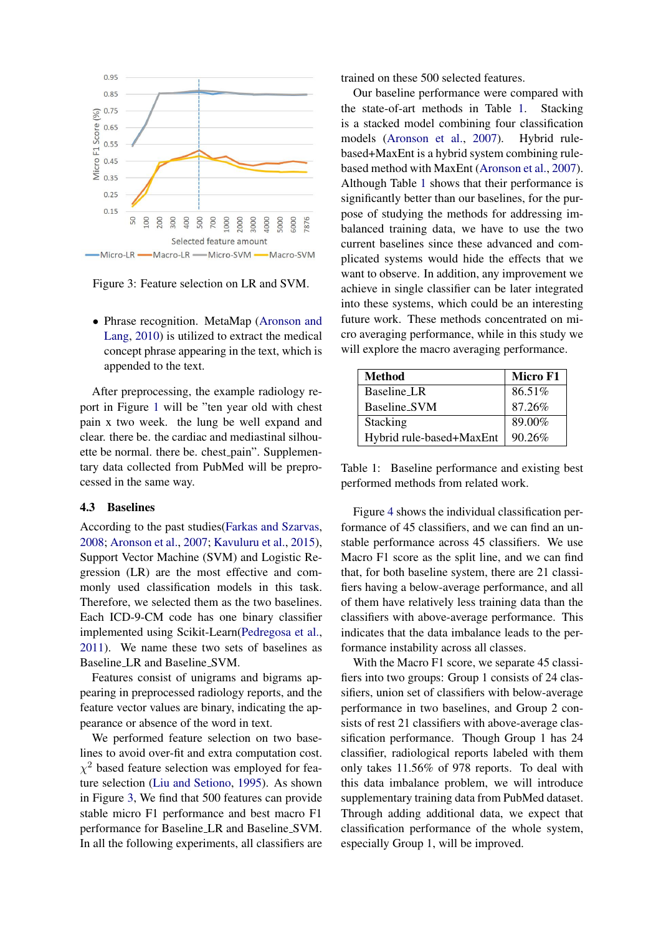

<span id="page-4-0"></span>Figure 3: Feature selection on LR and SVM.

• Phrase recognition. MetaMap [\(Aronson and](#page-8-17) [Lang,](#page-8-17) [2010\)](#page-8-17) is utilized to extract the medical concept phrase appearing in the text, which is appended to the text.

After preprocessing, the example radiology report in Figure [1](#page-0-0) will be "ten year old with chest pain x two week. the lung be well expand and clear. there be. the cardiac and mediastinal silhouette be normal. there be. chest pain". Supplementary data collected from PubMed will be preprocessed in the same way.

### 4.3 Baselines

According to the past studies[\(Farkas and Szarvas,](#page-8-1) [2008;](#page-8-1) [Aronson et al.,](#page-8-2) [2007;](#page-8-2) [Kavuluru et al.,](#page-8-3) [2015\)](#page-8-3), Support Vector Machine (SVM) and Logistic Regression (LR) are the most effective and commonly used classification models in this task. Therefore, we selected them as the two baselines. Each ICD-9-CM code has one binary classifier implemented using Scikit-Learn[\(Pedregosa et al.,](#page-8-18) [2011\)](#page-8-18). We name these two sets of baselines as Baseline LR and Baseline SVM.

Features consist of unigrams and bigrams appearing in preprocessed radiology reports, and the feature vector values are binary, indicating the appearance or absence of the word in text.

We performed feature selection on two baselines to avoid over-fit and extra computation cost.  $\chi^2$  based feature selection was employed for feature selection [\(Liu and Setiono,](#page-8-19) [1995\)](#page-8-19). As shown in Figure [3,](#page-4-0) We find that 500 features can provide stable micro F1 performance and best macro F1 performance for Baseline LR and Baseline SVM. In all the following experiments, all classifiers are trained on these 500 selected features.

Our baseline performance were compared with the state-of-art methods in Table [1.](#page-4-1) Stacking is a stacked model combining four classification models [\(Aronson et al.,](#page-8-2) [2007\)](#page-8-2). Hybrid rulebased+MaxEnt is a hybrid system combining rulebased method with MaxEnt [\(Aronson et al.,](#page-8-2) [2007\)](#page-8-2). Although Table [1](#page-4-1) shows that their performance is significantly better than our baselines, for the purpose of studying the methods for addressing imbalanced training data, we have to use the two current baselines since these advanced and complicated systems would hide the effects that we want to observe. In addition, any improvement we achieve in single classifier can be later integrated into these systems, which could be an interesting future work. These methods concentrated on micro averaging performance, while in this study we will explore the macro averaging performance.

| <b>Method</b>            | Micro F1 |
|--------------------------|----------|
| Baseline_LR              | 86.51%   |
| Baseline_SVM             | 87.26%   |
| <b>Stacking</b>          | 89.00%   |
| Hybrid rule-based+MaxEnt | 90.26%   |

<span id="page-4-1"></span>Table 1: Baseline performance and existing best performed methods from related work.

Figure [4](#page-5-0) shows the individual classification performance of 45 classifiers, and we can find an unstable performance across 45 classifiers. We use Macro F1 score as the split line, and we can find that, for both baseline system, there are 21 classifiers having a below-average performance, and all of them have relatively less training data than the classifiers with above-average performance. This indicates that the data imbalance leads to the performance instability across all classes.

With the Macro F1 score, we separate 45 classifiers into two groups: Group 1 consists of 24 classifiers, union set of classifiers with below-average performance in two baselines, and Group 2 consists of rest 21 classifiers with above-average classification performance. Though Group 1 has 24 classifier, radiological reports labeled with them only takes 11.56% of 978 reports. To deal with this data imbalance problem, we will introduce supplementary training data from PubMed dataset. Through adding additional data, we expect that classification performance of the whole system, especially Group 1, will be improved.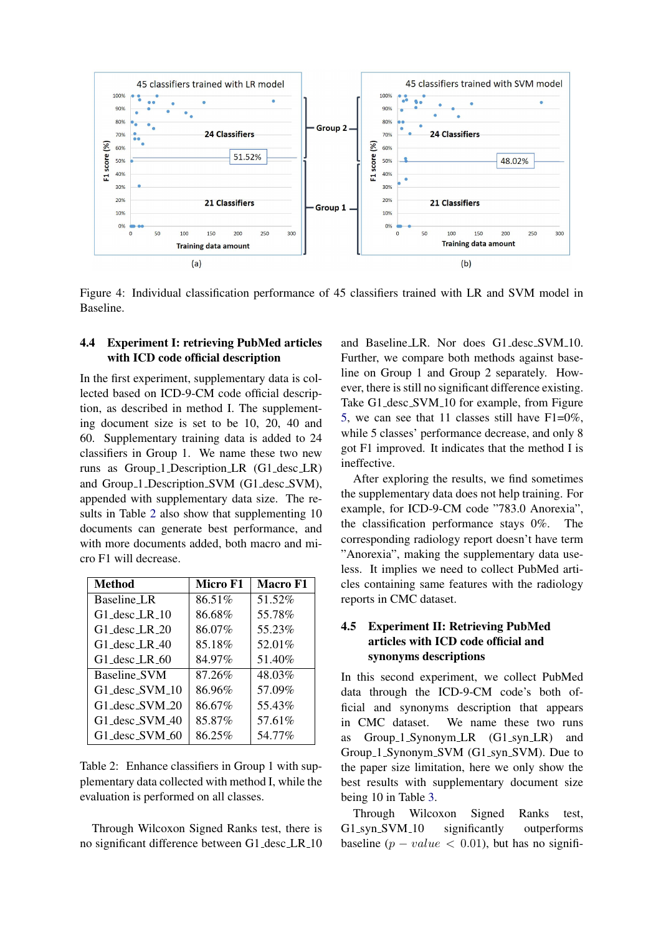

<span id="page-5-0"></span>Figure 4: Individual classification performance of 45 classifiers trained with LR and SVM model in Baseline.

### 4.4 Experiment I: retrieving PubMed articles with ICD code official description

In the first experiment, supplementary data is collected based on ICD-9-CM code official description, as described in method I. The supplementing document size is set to be 10, 20, 40 and 60. Supplementary training data is added to 24 classifiers in Group 1. We name these two new runs as Group 1 Description LR (G1 desc LR) and Group 1 Description SVM (G1 desc SVM), appended with supplementary data size. The results in Table [2](#page-5-1) also show that supplementing 10 documents can generate best performance, and with more documents added, both macro and micro F1 will decrease.

| Method                                  | Micro F1 | Macro F1 |
|-----------------------------------------|----------|----------|
| Baseline LR                             | 86.51%   | 51.52%   |
| $G1$ desc LR $10$                       | 86.68%   | 55.78%   |
| $G1$ <sub>-desc</sub> $LR_20$           | 86.07%   | 55.23%   |
| $G1$ desc LR 40                         | 85.18%   | 52.01%   |
| G1 desc LR 60                           | 84.97%   | 51.40\%  |
| Baseline_SVM                            | 87.26%   | 48.03%   |
| G1 desc SVM 10                          | 86.96%   | 57.09%   |
| G1 desc SVM 20                          | 86.67%   | 55.43%   |
| G1 desc SVM 40                          | 85.87%   | 57.61%   |
| $G1$ <sub>-desc-SVM<sub>-60</sub></sub> | 86.25%   | 54.77%   |

<span id="page-5-1"></span>Table 2: Enhance classifiers in Group 1 with supplementary data collected with method I, while the evaluation is performed on all classes.

Through Wilcoxon Signed Ranks test, there is no significant difference between G1 desc LR 10

and Baseline LR. Nor does G1 desc SVM 10. Further, we compare both methods against baseline on Group 1 and Group 2 separately. However, there is still no significant difference existing. Take G1\_desc\_SVM\_10 for example, from Figure [5,](#page-7-0) we can see that 11 classes still have  $F1=0\%$ , while 5 classes' performance decrease, and only 8 got F1 improved. It indicates that the method I is ineffective.

After exploring the results, we find sometimes the supplementary data does not help training. For example, for ICD-9-CM code "783.0 Anorexia", the classification performance stays 0%. The corresponding radiology report doesn't have term "Anorexia", making the supplementary data useless. It implies we need to collect PubMed articles containing same features with the radiology reports in CMC dataset.

# 4.5 Experiment II: Retrieving PubMed articles with ICD code official and synonyms descriptions

In this second experiment, we collect PubMed data through the ICD-9-CM code's both official and synonyms description that appears in CMC dataset. We name these two runs as Group 1 Synonym LR (G1 syn LR) and Group 1 Synonym SVM (G1 syn SVM). Due to the paper size limitation, here we only show the best results with supplementary document size being 10 in Table [3.](#page-6-0)

Through Wilcoxon Signed Ranks test, G1\_syn\_SVM\_10 significantly outperforms baseline  $(p - value < 0.01)$ , but has no signifi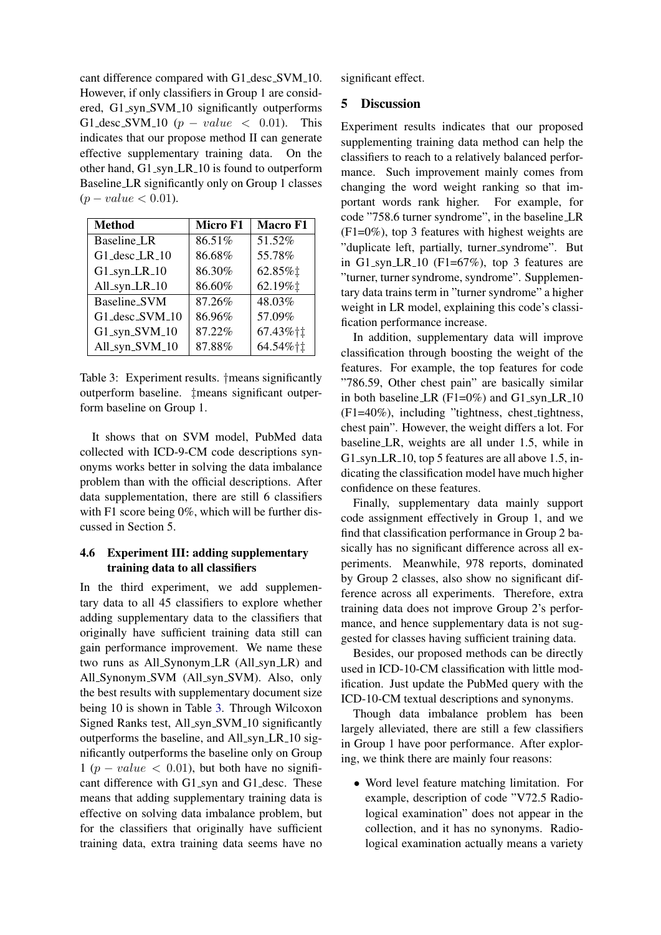cant difference compared with G1\_desc\_SVM\_10. However, if only classifiers in Group 1 are considered, G1 syn SVM 10 significantly outperforms G1\_desc\_SVM\_10 ( $p-value < 0.01$ ). This indicates that our propose method II can generate effective supplementary training data. On the other hand, G1\_syn\_LR\_10 is found to outperform Baseline LR significantly only on Group 1 classes  $(p-value < 0.01)$ .

| <b>Method</b>  | Micro F1 | <b>Macro F1</b>   |
|----------------|----------|-------------------|
| Baseline LR    | 86.51%   | 51.52%            |
| G1_desc_LR_10  | 86.68%   | 55.78%            |
| G1_syn_LR_10   | 86.30%   | 62.85%1           |
| All_syn_LR_10  | 86.60%   | 62.19% $\ddagger$ |
| Baseline_SVM   | 87.26%   | 48.03%            |
| G1_desc_SVM_10 | 86.96%   | 57.09%            |
| G1_syn_SVM_10  | 87.22%   | 67.43%†‡          |
| All_syn_SVM_10 | 87.88%   | 64.54%†1          |

<span id="page-6-0"></span>Table 3: Experiment results. †means significantly outperform baseline. ‡means significant outperform baseline on Group 1.

It shows that on SVM model, PubMed data collected with ICD-9-CM code descriptions synonyms works better in solving the data imbalance problem than with the official descriptions. After data supplementation, there are still 6 classifiers with F1 score being 0%, which will be further discussed in Section 5.

## 4.6 Experiment III: adding supplementary training data to all classifiers

In the third experiment, we add supplementary data to all 45 classifiers to explore whether adding supplementary data to the classifiers that originally have sufficient training data still can gain performance improvement. We name these two runs as All\_Synonym\_LR (All\_syn\_LR) and All Synonym SVM (All syn SVM). Also, only the best results with supplementary document size being 10 is shown in Table [3.](#page-6-0) Through Wilcoxon Signed Ranks test, All\_syn\_SVM\_10 significantly outperforms the baseline, and All syn LR 10 significantly outperforms the baseline only on Group  $1 (p-value < 0.01)$ , but both have no significant difference with G1\_syn and G1\_desc. These means that adding supplementary training data is effective on solving data imbalance problem, but for the classifiers that originally have sufficient training data, extra training data seems have no significant effect.

# 5 Discussion

Experiment results indicates that our proposed supplementing training data method can help the classifiers to reach to a relatively balanced performance. Such improvement mainly comes from changing the word weight ranking so that important words rank higher. For example, for code "758.6 turner syndrome", in the baseline LR (F1=0%), top 3 features with highest weights are "duplicate left, partially, turner syndrome". But in G1\_syn\_LR\_10 (F1= $67\%$ ), top 3 features are "turner, turner syndrome, syndrome". Supplementary data trains term in "turner syndrome" a higher weight in LR model, explaining this code's classification performance increase.

In addition, supplementary data will improve classification through boosting the weight of the features. For example, the top features for code "786.59, Other chest pain" are basically similar in both baseline LR  $(F1=0\%)$  and  $G1$  syn LR 10 (F1=40%), including "tightness, chest tightness, chest pain". However, the weight differs a lot. For baseline LR, weights are all under 1.5, while in G1\_syn\_LR\_10, top 5 features are all above 1.5, indicating the classification model have much higher confidence on these features.

Finally, supplementary data mainly support code assignment effectively in Group 1, and we find that classification performance in Group 2 basically has no significant difference across all experiments. Meanwhile, 978 reports, dominated by Group 2 classes, also show no significant difference across all experiments. Therefore, extra training data does not improve Group 2's performance, and hence supplementary data is not suggested for classes having sufficient training data.

Besides, our proposed methods can be directly used in ICD-10-CM classification with little modification. Just update the PubMed query with the ICD-10-CM textual descriptions and synonyms.

Though data imbalance problem has been largely alleviated, there are still a few classifiers in Group 1 have poor performance. After exploring, we think there are mainly four reasons:

• Word level feature matching limitation. For example, description of code "V72.5 Radiological examination" does not appear in the collection, and it has no synonyms. Radiological examination actually means a variety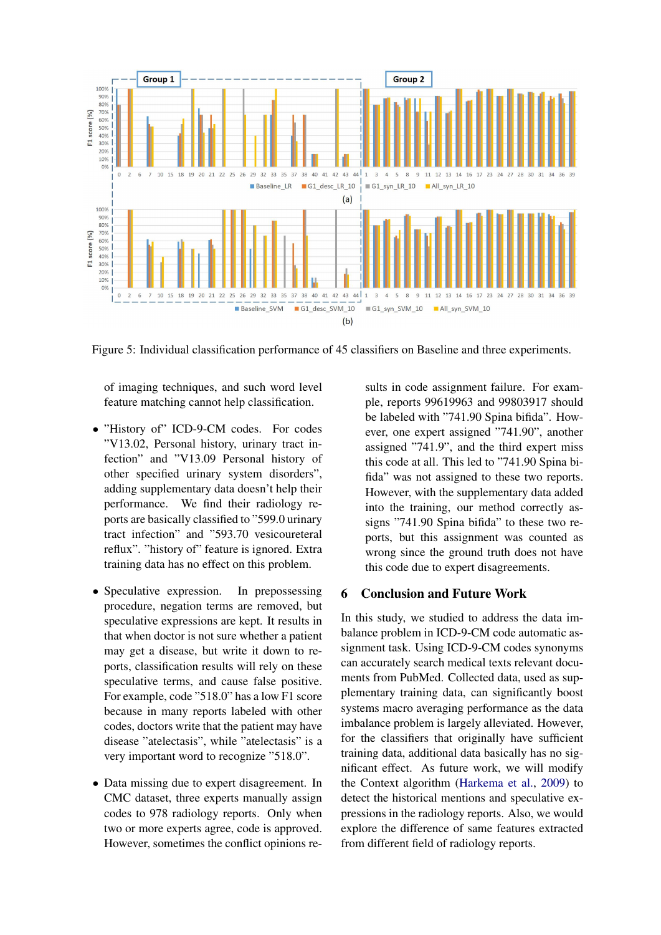

<span id="page-7-0"></span>Figure 5: Individual classification performance of 45 classifiers on Baseline and three experiments.

of imaging techniques, and such word level feature matching cannot help classification.

- "History of" ICD-9-CM codes. For codes "V13.02, Personal history, urinary tract infection" and "V13.09 Personal history of other specified urinary system disorders", adding supplementary data doesn't help their performance. We find their radiology reports are basically classified to "599.0 urinary tract infection" and "593.70 vesicoureteral reflux". "history of" feature is ignored. Extra training data has no effect on this problem.
- Speculative expression. In prepossessing procedure, negation terms are removed, but speculative expressions are kept. It results in that when doctor is not sure whether a patient may get a disease, but write it down to reports, classification results will rely on these speculative terms, and cause false positive. For example, code "518.0" has a low F1 score because in many reports labeled with other codes, doctors write that the patient may have disease "atelectasis", while "atelectasis" is a very important word to recognize "518.0".
- Data missing due to expert disagreement. In CMC dataset, three experts manually assign codes to 978 radiology reports. Only when two or more experts agree, code is approved. However, sometimes the conflict opinions re-

sults in code assignment failure. For example, reports 99619963 and 99803917 should be labeled with "741.90 Spina bifida". However, one expert assigned "741.90", another assigned "741.9", and the third expert miss this code at all. This led to "741.90 Spina bifida" was not assigned to these two reports. However, with the supplementary data added into the training, our method correctly assigns "741.90 Spina bifida" to these two reports, but this assignment was counted as wrong since the ground truth does not have this code due to expert disagreements.

# 6 Conclusion and Future Work

In this study, we studied to address the data imbalance problem in ICD-9-CM code automatic assignment task. Using ICD-9-CM codes synonyms can accurately search medical texts relevant documents from PubMed. Collected data, used as supplementary training data, can significantly boost systems macro averaging performance as the data imbalance problem is largely alleviated. However, for the classifiers that originally have sufficient training data, additional data basically has no significant effect. As future work, we will modify the Context algorithm [\(Harkema et al.,](#page-8-20) [2009\)](#page-8-20) to detect the historical mentions and speculative expressions in the radiology reports. Also, we would explore the difference of same features extracted from different field of radiology reports.